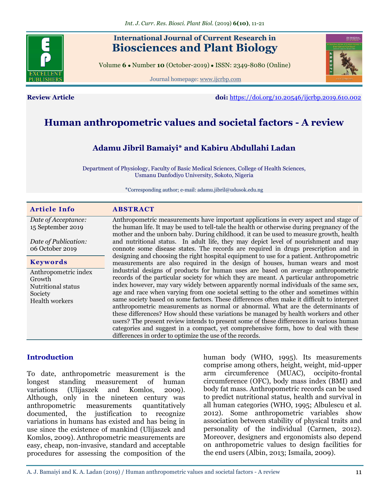## **International Journal of Current Research in Biosciences and Plant Biology**

Volume **6** ● Number **10** (October-2019) ● ISSN: 2349-8080 (Online)

Journal homepage: [www.ijcrbp.com](http://www.ijcrbp.com/)



**Review Article doi:** <https://doi.org/10.20546/ijcrbp.2019.610.002>

# **Human anthropometric values and societal factors - A review**

## **Adamu Jibril Bamaiyi\* and Kabiru Abdullahi Ladan**

Department of Physiology, Faculty of Basic Medical Sciences, College of Health Sciences, Usmanu Danfodiyo University, Sokoto, Nigeria

\*Corresponding author; e-mail: adamu.jibril@udusok.edu.ng

| <b>Article Info</b>           | <b>ABSTRACT</b>                                                                                                                                                                       |
|-------------------------------|---------------------------------------------------------------------------------------------------------------------------------------------------------------------------------------|
| Date of Acceptance:           | Anthropometric measurements have important applications in every aspect and stage of                                                                                                  |
| 15 September 2019             | the human life. It may be used to tell-tale the health or otherwise during pregnancy of the<br>mother and the unborn baby. During childhood, it can be used to measure growth, health |
| Date of Publication:          | and nutritional status. In adult life, they may depict level of nourishment and may                                                                                                   |
| 06 October 2019               | connote some disease states. The records are required in drugs prescription and in                                                                                                    |
| <b>Keywords</b>               | designing and choosing the right hospital equipment to use for a patient. Anthropometric<br>measurements are also required in the design of houses, human wears and most              |
| Anthropometric index          | industrial designs of products for human uses are based on average anthropometric                                                                                                     |
| Growth                        | records of the particular society for which they are meant. A particular anthropometric<br>index however, may vary widely between apparently normal individuals of the same sex,      |
| Nutritional status<br>Society | age and race when varying from one societal setting to the other and sometimes within                                                                                                 |
| <b>Health workers</b>         | same society based on some factors. These differences often make it difficult to interpret                                                                                            |
|                               | anthropometric measurements as normal or abnormal. What are the determinants of                                                                                                       |
|                               | these differences? How should these variations be managed by health workers and other                                                                                                 |
|                               | users? The present review intends to present some of these differences in various human                                                                                               |
|                               | categories and suggest in a compact, yet comprehensive form, how to deal with these<br>differences in order to optimize the use of the records.                                       |
|                               |                                                                                                                                                                                       |

#### **Introduction**

To date, anthropometric measurement is the longest standing measurement of human variations (Ulijaszek and Komlos, 2009). Although, only in the nineteen century was anthropometric measurements quantitatively documented, the justification to recognize variations in humans has existed and has being in use since the existence of mankind (Ulijaszek and Komlos, 2009). Anthropometric measurements are easy, cheap, non-invasive, standard and acceptable procedures for assessing the composition of the human body (WHO, 1995). Its measurements comprise among others, height, weight, mid-upper arm circumference (MUAC), occipito-frontal circumference (OFC), body mass index (BMI) and body fat mass. Anthropometric records can be used to predict nutritional status, health and survival in all human categories (WHO, 1995; Albulescu et al. 2012). Some anthropometric variables show association between stability of physical traits and personality of the individual (Carmen, 2012). Moreover, designers and ergonomists also depend on anthropometric values to design facilities for the end users (Albin, 2013; Ismaila, 2009).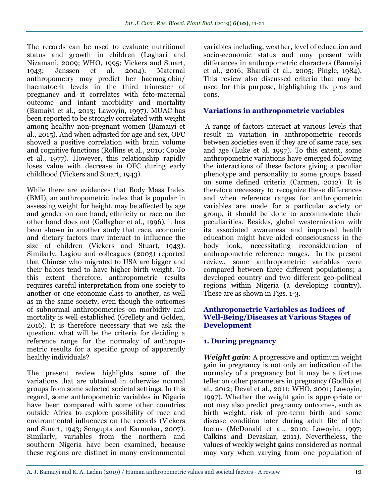The records can be used to evaluate nutritional status and growth in children (Laghari and Nizamani, 2009; WHO, 1995; Vickers and Stuart, 1943; Janssen et al. 2004). Maternal anthropometry may predict her haemoglobin/ haematocrit levels in the third trimester of pregnancy and it correlates with feto-maternal outcome and infant morbidity and mortality (Bamaiyi et al., 2013; Lawoyin, 1997). MUAC has been reported to be strongly correlated with weight among healthy non-pregnant women (Bamaiyi et al., 2015). And when adjusted for age and sex, OFC showed a positive correlation with brain volume and cognitive functions (Rollins et al., 2010; Cooke et al., 1977). However, this relationship rapidly loses value with decrease in OFC during early childhood (Vickers and Stuart, 1943).

While there are evidences that Body Mass Index (BMI), an anthropometric index that is popular in assessing weight for height, may be affected by age and gender on one hand, ethnicity or race on the other hand does not (Gallagher et al., 1996), it has been shown in another study that race, economic and dietary factors may interact to influence the size of children (Vickers and Stuart, 1943). Similarly, Lagiou and colleagues (2003) reported that Chinese who migrated to USA are bigger and their babies tend to have higher birth weight. To this extent therefore, anthropometric results requires careful interpretation from one society to another or one economic class to another, as well as in the same society, even though the outcomes of subnormal anthropometries on morbidity and mortality is well established (Grellety and Golden, 2016). It is therefore necessary that we ask the question, what will be the criteria for deciding a reference range for the normalcy of anthropometric results for a specific group of apparently healthy individuals?

The present review highlights some of the variations that are obtained in otherwise normal groups from some selected societal settings. In this regard, some anthropometric variables in Nigeria have been compared with some other countries outside Africa to explore possibility of race and environmental influences on the records (Vickers and Stuart, 1943; Sengupta and Karmakar, 2007). Similarly, variables from the northern and southern Nigeria have been examined, because these regions are distinct in many environmental variables including, weather, level of education and socio-economic status and may present with differences in anthropometric characters (Bamaiyi et al., 2016; Bharati et al., 2005; Pingle, 1984). This review also discussed criteria that may be used for this purpose, highlighting the pros and cons.

## **Variations in anthropometric variables**

A range of factors interact at various levels that result in variation in anthropometric records between societies even if they are of same race, sex and age (Luke et al. 1997). To this extent, some anthropometric variations have emerged following the interactions of these factors giving a peculiar phenotype and personality to some groups based on some defined criteria (Carmen, 2012). It is therefore necessary to recognize these differences and when reference ranges for anthropometric variables are made for a particular society or group, it should be done to accommodate their peculiarities. Besides, global westernization with its associated awareness and improved health education might have aided consciousness in the body look, necessitating reconsideration of anthropometric reference ranges. In the present review, some anthropometric variables were compared between three different populations; a developed country and two different geo-political regions within Nigeria (a developing country). These are as shown in Figs. 1-3.

#### **Anthropometric Variables as Indices of Well-Being/Diseases at Various Stages of Development**

## **1. During pregnancy**

*Weight gain*: A progressive and optimum weight gain in pregnancy is not only an indication of the normalcy of a pregnancy but it may be a fortune teller on other parameters in pregnancy (Godhia et al., 2012; Deval et al., 2011; WHO, 2001; Lawoyin, 1997). Whether the weight gain is appropriate or not may also predict pregnancy outcomes, such as birth weight, risk of pre-term birth and some disease condition later during adult life of the foetus (McDonald et al., 2010; Lawoyin, 1997; Calkins and Devaskar, 2011). Nevertheless, the values of weekly weight gains considered as normal may vary when varying from one population of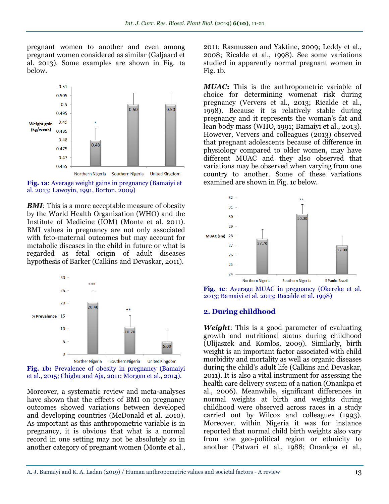pregnant women to another and even among pregnant women considered as similar (Galjaard et al. 2013). Some examples are shown in Fig. 1a below.



**Fig. 1a**: Average weight gains in pregnancy (Bamaiyi et al. 2013; Lawoyin, 1991, Borton, 2009)

*BMI*: This is a more acceptable measure of obesity by the World Health Organization (WHO) and the Institute of Medicine (IOM) (Monte et al. 2011). BMI values in pregnancy are not only associated with feto-maternal outcomes but may account for metabolic diseases in the child in future or what is regarded as fetal origin of adult diseases hypothesis of Barker (Calkins and Devaskar, 2011).



**Fig. 1b:** Prevalence of obesity in pregnancy (Bamaiyi et al., 2015; Chigbu and Aja, 2011; Morgan et al., 2014).

Moreover, a systematic review and meta-analyses have shown that the effects of BMI on pregnancy outcomes showed variations between developed and developing countries (McDonald et al. 2010). As important as this anthropometric variable is in pregnancy, it is obvious that what is a normal record in one setting may not be absolutely so in another category of pregnant women (Monte et al.,

2011; Rasmussen and Yaktine, 2009; Leddy et al., 2008; Ricalde et al., 1998). See some variations studied in apparently normal pregnant women in Fig. 1b.

*MUAC***:** This is the anthropometric variable of choice for determining womenat risk during pregnancy (Ververs et al., 2013; Ricalde et al., 1998). Because it is relatively stable during pregnancy and it represents the woman's fat and lean body mass (WHO, 1991; Bamaiyi et al., 2013). However, Ververs and colleagues (2013) observed that pregnant adolescents because of difference in physiology compared to older women, may have different MUAC and they also observed that variations may be observed when varying from one country to another. Some of these variations examined are shown in Fig. 1c below.



**Fig. 1c**: Average MUAC in pregnancy (Okereke et al. 2013; Bamaiyi et al. 2013; Recalde et al. 1998)

#### **2. During childhood**

*Weight*: This is a good parameter of evaluating growth and nutritional status during childhood (Ulijaszek and Komlos, 2009). Similarly, birth weight is an important factor associated with child morbidity and mortality as well as organic diseases during the child's adult life (Calkins and Devaskar, 2011). It is also a vital instrument for assessing the health care delivery system of a nation (Onankpa et al., 2006). Meanwhile, significant differences in normal weights at birth and weights during childhood were observed across races in a study carried out by Wilcox and colleagues (1993). Moreover, within Nigeria it was for instance reported that normal child birth weights also vary from one geo-political region or ethnicity to another (Patwari et al., 1988; Onankpa et al.,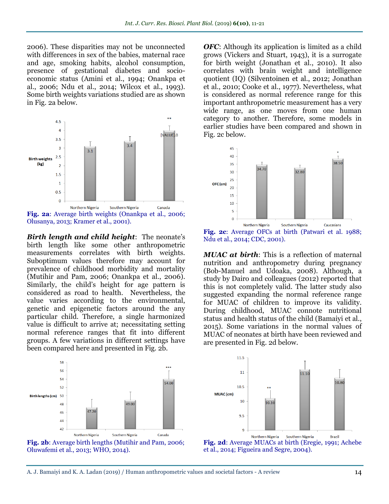2006). These disparities may not be unconnected with differences in sex of the babies, maternal race and age, smoking habits, alcohol consumption, presence of gestational diabetes and socioeconomic status (Amini et al., 1994; Onankpa et al., 2006; Ndu et al., 2014; Wilcox et al., 1993). Some birth weights variations studied are as shown in Fig. 2a below.



**Fig. 2a**: Average birth weights (Onankpa et al., 2006; Olusanya, 2013; Kramer et al., 2001).

*Birth length and child height*: The neonate's birth length like some other anthropometric measurements correlates with birth weights. Suboptimum values therefore may account for prevalence of childhood morbidity and mortality (Mutihir and Pam, 2006; Onankpa et al., 2006). Similarly, the child's height for age pattern is considered as road to health. Nevertheless, the value varies according to the environmental, genetic and epigenetic factors around the any particular child. Therefore, a single harmonized value is difficult to arrive at; necessitating setting normal reference ranges that fit into different groups. A few variations in different settings have been compared here and presented in Fig. 2b.





**OFC:** Although its application is limited as a child grows (Vickers and Stuart, 1943), it is a surrogate for birth weight (Jonathan et al., 2010). It also correlates with brain weight and intelligence quotient (IQ) (Silventoinen et al., 2012; Jonathan et al., 2010; Cooke et al., 1977). Nevertheless, what is considered as normal reference range for this important anthropometric measurement has a very wide range, as one moves from one human category to another. Therefore, some models in earlier studies have been compared and shown in Fig. 2c below.



**Fig. 2c**: Average OFCs at birth (Patwari et al. 1988; Ndu et al., 2014; CDC, 2001).

*MUAC at birth*: This is a reflection of maternal nutrition and anthropometry during pregnancy (Bob-Manuel and Udoaka, 2008). Although, a study by Dairo and colleagues (2012) reported that this is not completely valid. The latter study also suggested expanding the normal reference range for MUAC of children to improve its validity. During childhood, MUAC connote nutritional status and health status of the child (Bamaiyi et al., 2015). Some variations in the normal values of MUAC of neonates at birth have been reviewed and are presented in Fig. 2d below.



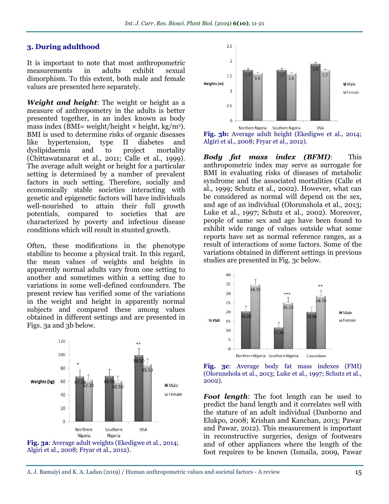#### **3. During adulthood**

It is important to note that most anthropometric measurements in adults exhibit sexual dimorphism. To this extent, both male and female values are presented here separately.

*Weight and height*: The weight or height as a measure of anthropometry in the adults is better presented together, in an index known as body mass index (BMI= weight/height  $\times$  height, kg/m<sup>2</sup>). BMI is used to determine risks of organic diseases like hypertension, type II diabetes and dyslipidaemia and to project mortality (Chittawatanarat et al., 2011; Calle et al., 1999). The average adult weight or height for a particular setting is determined by a number of prevalent factors in such setting. Therefore, socially and economically stable societies interacting with genetic and epigenetic factors will have individuals well-nourished to attain their full growth potentials, compared to societies that are characterized by poverty and infectious disease conditions which will result in stunted growth.

Often, these modifications in the phenotype stabilize to become a physical trait. In this regard, the mean values of weights and heights in apparently normal adults vary from one setting to another and sometimes within a setting due to variations in some well-defined confounders. The present review has verified some of the variations in the weight and height in apparently normal subjects and compared these among values obtained in different settings and are presented in Figs. 3a and 3b below.





**Fig. 3b:** Average adult height (Ekedigwe et al., 2014; Algiri et al., 2008; Fryar et al., 2012).

*Body fat mass index (BFMI)*: This anthropometric index may serve as surrogate for BMI in evaluating risks of diseases of metabolic syndrome and the associated mortalities (Calle et al., 1999; Schutz et al., 2002). However, what can be considered as normal will depend on the sex, and age of an individual (Olorunshola et al., 2013; Luke et al., 1997; Schutz et al., 2002). Moreover, people of same sex and age have been found to exhibit wide range of values outside what some reports have set as normal reference ranges, as a result of interactions of some factors. Some of the variations obtained in different settings in previous studies are presented in Fig. 3c below.





*Foot length*: The foot length can be used to predict the hand length and it correlates well with the stature of an adult individual (Danborno and Elukpo, 2008; Krishan and Kanchan, 2013; Pawar and Pawar, 2012). This measurement is important in reconstructive surgeries, design of footwears and of other appliances where the length of the foot requires to be known (Ismaila, 2009, Pawar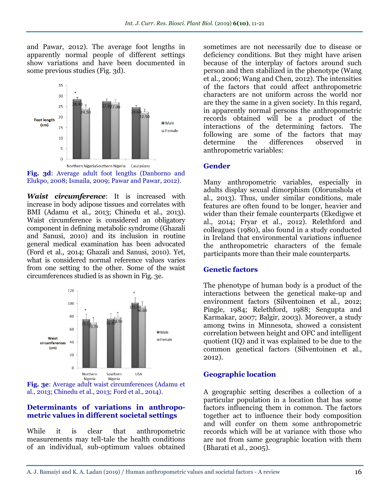and Pawar, 2012). The average foot lengths in apparently normal people of different settings show variations and have been documented in some previous studies (Fig. 3d).



**Fig. 3d**: Average adult foot lengths (Danborno and Elukpo, 2008; Ismaila, 2009; Pawar and Pawar, 2012).

*Waist circumference*: It is increased with increase in body adipose tissues and correlates with BMI (Adamu et al., 2013; Chinedu et al., 2013). Waist circumference is considered an obligatory component in defining metabolic syndrome (Ghazali and Sanusi, 2010) and its inclusion in routine general medical examination has been advocated (Ford et al., 2014; Ghazali and Sanusi, 2010). Yet, what is considered normal reference values varies from one setting to the other. Some of the waist circumferences studied is as shown in Fig. 3e.





#### **Determinants of variations in anthropometric values in different societal settings**

While it is clear that anthropometric measurements may tell-tale the health conditions of an individual, sub-optimum values obtained sometimes are not necessarily due to disease or deficiency conditions. But they might have arisen because of the interplay of factors around such person and then stabilized in the phenotype (Wang et al., 2006; Wang and Chen, 2012). The intensities of the factors that could affect anthropometric characters are not uniform across the world nor are they the same in a given society. In this regard, in apparently normal persons the anthropometric records obtained will be a product of the interactions of the determining factors. The following are some of the factors that may determine the differences observed in anthropometric variables:

#### **Gender**

Many anthropometric variables, especially in adults display sexual dimorphism (Olorunshola et al., 2013). Thus, under similar conditions, male features are often found to be longer, heavier and wider than their female counterparts (Ekedigwe et al., 2014; Fryar et al., 2012). Relethford and colleagues (1980), also found in a study conducted in Ireland that environmental variations influence the anthropometric characters of the female participants more than their male counterparts.

## **Genetic factors**

The phenotype of human body is a product of the interactions between the genetical make-up and environment factors (Silventoinen et al., 2012; Pingle, 1984; Relethford, 1988; Sengupta and Karmakar, 2007; Balgir, 2003). Moreover, a study among twins in Minnesota, showed a consistent correlation between height and OFC and intelligent quotient (IQ) and it was explained to be due to the common genetical factors (Silventoinen et al., 2012).

## **Geographic location**

A geographic setting describes a collection of a particular population in a location that has some factors influencing them in common. The factors together act to influence their body composition and will confer on them some anthropometric records which will be at variance with those who are not from same geographic location with them (Bharati et al., 2005).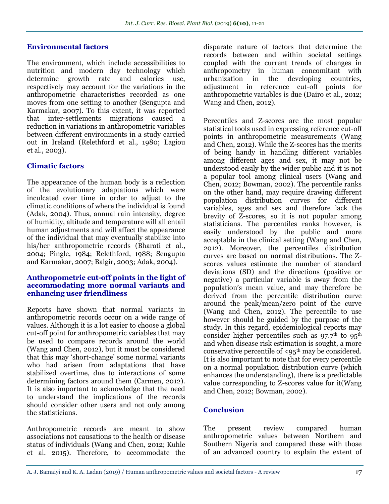#### **Environmental factors**

The environment, which include accessibilities to nutrition and modern day technology which determine growth rate and calories use, respectively may account for the variations in the anthropometric characteristics recorded as one moves from one setting to another (Sengupta and Karmakar, 2007). To this extent, it was reported that inter-settlements migrations caused a reduction in variations in anthropometric variables between different environments in a study carried out in Ireland (Relethford et al., 1980; Lagiou et al., 2003).

#### **Climatic factors**

The appearance of the human body is a reflection of the evolutionary adaptations which were inculcated over time in order to adjust to the climatic conditions of where the individual is found (Adak, 2004). Thus, annual rain intensity, degree of humidity, altitude and temperature will all entail human adjustments and will affect the appearance of the individual that may eventually stabilize into his/her anthropometric records (Bharati et al., 2004; Pingle, 1984; Relethford, 1988; Sengupta and Karmakar, 2007; Balgir, 2003; Adak, 2004).

#### **Anthropometric cut-off points in the light of accommodating more normal variants and enhancing user friendliness**

Reports have shown that normal variants in anthropometric records occur on a wide range of values. Although it is a lot easier to choose a global cut-off point for anthropometric variables that may be used to compare records around the world (Wang and Chen, 2012), but it must be considered that this may 'short-change' some normal variants who had arisen from adaptations that have stabilized overtime, due to interactions of some determining factors around them (Carmen, 2012). It is also important to acknowledge that the need to understand the implications of the records should consider other users and not only among the statisticians.

Anthropometric records are meant to show associations not causations to the health or disease status of individuals (Wang and Chen, 2012; Kuhle et al. 2015). Therefore, to accommodate the disparate nature of factors that determine the records between and within societal settings coupled with the current trends of changes in anthropometry in human concomitant with urbanization in the developing countries, adjustment in reference cut-off points for anthropometric variables is due (Dairo et al., 2012; Wang and Chen, 2012).

Percentiles and Z-scores are the most popular statistical tools used in expressing reference cut-off points in anthropometric measurements (Wang and Chen, 2012). While the Z-scores has the merits of being handy in handling different variables among different ages and sex, it may not be understood easily by the wider public and it is not a popular tool among clinical users (Wang and Chen, 2012; Bowman, 2002). The percentile ranks on the other hand, may require drawing different population distribution curves for different variables, ages and sex and therefore lack the brevity of Z-scores, so it is not popular among statisticians. The percentiles ranks however, is easily understood by the public and more acceptable in the clinical setting (Wang and Chen, 2012). Moreover, the percentiles distribution curves are based on normal distributions. The Zscores values estimate the number of standard deviations (SD) and the directions (positive or negative) a particular variable is away from the population's mean value, and may therefore be derived from the percentile distribution curve around the peak/mean/zero point of the curve (Wang and Chen, 2012). The percentile to use however should be guided by the purpose of the study. In this regard, epidemiological reports may consider higher percentiles such as  $97.7<sup>th</sup>$  to  $95<sup>th</sup>$ and when disease risk estimation is sought, a more conservative percentile of  $\langle 95^{th}$  may be considered. It is also important to note that for every percentile on a normal population distribution curve (which enhances the understanding), there is a predictable value corresponding to Z-scores value for it(Wang and Chen, 2012; Bowman, 2002).

## **Conclusion**

The present review compared human anthropometric values between Northern and Southern Nigeria and compared these with those of an advanced country to explain the extent of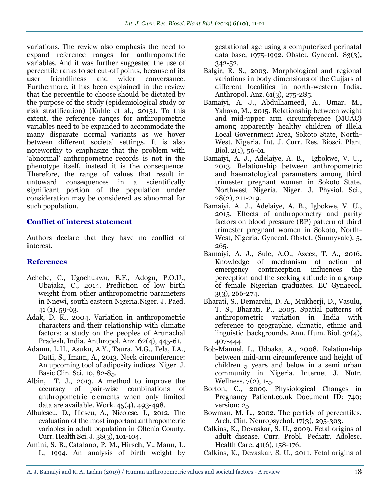variations. The review also emphasis the need to expand reference ranges for anthropometric variables. And it was further suggested the use of percentile ranks to set cut-off points, because of its user friendliness and wider conversance. Furthermore, it has been explained in the review that the percentile to choose should be dictated by the purpose of the study (epidemiological study or risk stratification) (Kuhle et al., 2015). To this extent, the reference ranges for anthropometric variables need to be expanded to accommodate the many disparate normal variants as we hover between different societal settings. It is also noteworthy to emphasize that the problem with 'abnormal' anthropometric records is not in the phenotype itself, instead it is the consequence. Therefore, the range of values that result in untoward consequences in a scientifically significant portion of the population under consideration may be considered as abnormal for such population.

#### **Conflict of interest statement**

Authors declare that they have no conflict of interest.

## **References**

- Achebe, C., Ugochukwu, E.F., Adogu, P.O.U., Ubajaka, C., 2014. Prediction of low birth weight from other anthropometric parameters in Nnewi, south eastern Nigeria.Niger. J. Paed. 41 (1), 59-63.
- [Adak, D. K.](https://www.ncbi.nlm.nih.gov/pubmed/?term=Adak%20DK%5BAuthor%5D&cauthor=true&cauthor_uid=15648853), 2004. Variation in anthropometric characters and their relationship with climatic factors: a study on the peoples of Arunachal Pradesh, India. [Anthropol. Anz.](https://www.ncbi.nlm.nih.gov/pubmed/15648853) 62(4), 445-61.
- Adamu, L.H., Asuku, A.Y., Taura, M.G., Tela, I.A., Datti, S., Imam, A., 2013. Neck circumference: An upcoming tool of adiposity indices. Niger. J. Basic Clin. Sci. 10, 82-85.
- Albin, T. J., 2013. A method to improve the accuracy of pair-wise combinations of anthropometric elements when only limited data are available. Work. 45(4), 493-498.
- Albulescu, D., Iliescu, A., Nicolesc, I., 2012. The evaluation of the most important anthropometric variables in adult population in Oltenia County. Curr. Health Sci. J. 38(3), 101-104.
- [Amini, S. B.](https://www.ncbi.nlm.nih.gov/pubmed/?term=Amini%20SB%5BAuthor%5D&cauthor=true&cauthor_uid=8127523), [Catalano, P. M.](https://www.ncbi.nlm.nih.gov/pubmed/?term=Catalano%20PM%5BAuthor%5D&cauthor=true&cauthor_uid=8127523), [Hirsch, V.](https://www.ncbi.nlm.nih.gov/pubmed/?term=Hirsch%20V%5BAuthor%5D&cauthor=true&cauthor_uid=8127523), [Mann, L.](https://www.ncbi.nlm.nih.gov/pubmed/?term=Mann%20LI%5BAuthor%5D&cauthor=true&cauthor_uid=8127523)  [I.](https://www.ncbi.nlm.nih.gov/pubmed/?term=Mann%20LI%5BAuthor%5D&cauthor=true&cauthor_uid=8127523), 1994. An analysis of birth weight by

gestational age using a computerized perinatal data base, 1975-1992. Obstet. [Gynecol.](https://www.ncbi.nlm.nih.gov/pubmed/8127523) 83(3), 342-52.

- [Balgir,](https://www.ncbi.nlm.nih.gov/pubmed/?term=Balgir%20RS%5BAuthor%5D&cauthor=true&cauthor_uid=14524001) R. S., 2003. Morphological and regional variations in body dimensions of the Gujjars of different localities in north-western India. [Anthropol. Anz.](https://www.ncbi.nlm.nih.gov/pubmed/14524001) 61(3), 275-285.
- Bamaiyi, A. J., Abdulhameed, A., Umar, M., Yahaya, M., 2015. Relationship between weight and mid-upper arm circumference (MUAC) among apparently healthy children of Illela Local Government Area, Sokoto State, North-West, Nigeria. Int. J. Curr. Res. Biosci. Plant Biol. 2(1), 56-61.
- Bamaiyi, A. J., Adelaiye, A. B., Igbokwe, V. U., 2013. Relationship between anthropometric and haematological parameters among third trimester pregnant women in Sokoto State, Northwest Nigeria. Niger. J. Physiol. Sci., 28(2), 211-219.
- Bamaiyi, A. J., Adelaiye, A. B., Igbokwe, V. U., 2015. Effects of anthropometry and parity factors on blood pressure (BP) pattern of third trimester pregnant women in Sokoto, North-West, Nigeria. Gynecol. Obstet. (Sunnyvale), 5, 265.
- Bamaiyi, A. J., Sule, A.O., Azeez, T. A., 2016. Knowledge of mechanism of action of emergency contraception influences the perception and the seeking attitude in a group of female Nigerian graduates. EC Gynaecol.  $3(3)$ , 266-274.
- [Bharati, S.](https://www.ncbi.nlm.nih.gov/pubmed/?term=Bharati%20S%5BAuthor%5D&cauthor=true&cauthor_uid=16147394), [Demarchi, D. A.](https://www.ncbi.nlm.nih.gov/pubmed/?term=Demarchi%20DA%5BAuthor%5D&cauthor=true&cauthor_uid=16147394), [Mukherji, D.](https://www.ncbi.nlm.nih.gov/pubmed/?term=Mukherji%20D%5BAuthor%5D&cauthor=true&cauthor_uid=16147394), [Vasulu,](https://www.ncbi.nlm.nih.gov/pubmed/?term=Vasulu%20TS%5BAuthor%5D&cauthor=true&cauthor_uid=16147394)  [T. S.](https://www.ncbi.nlm.nih.gov/pubmed/?term=Vasulu%20TS%5BAuthor%5D&cauthor=true&cauthor_uid=16147394), [Bharati, P.](https://www.ncbi.nlm.nih.gov/pubmed/?term=Bharati%20P%5BAuthor%5D&cauthor=true&cauthor_uid=16147394), 2005. Spatial patterns of anthropometric variation in India with reference to geographic, climatic, ethnic and linguistic backgrounds. Ann. [Hum.](https://www.ncbi.nlm.nih.gov/pubmed/16147394) Biol. 32(4), 407-444.
- Bob-Manuel, I., Udoaka, A., 2008. Relationship between mid-arm circumference and height of children 5 years and below in a semi urban community in Nigeria. Internet J. Nutr. Wellness. 7(2), 1-5.
- Borton, C., 2009. Physiological Changes in Pregnancy Patient.co.uk Document ID: 740; version: 25
- [Bowman,](http://www.sciencedirect.com/science/article/pii/S0887617701001160) M. L., 2002. The perfidy of percentiles. [Arch. Clin. Neuropsychol.](http://www.sciencedirect.com/science/journal/08876177) 17(3), 295-303.
- [Calkins, K.](https://www.ncbi.nlm.nih.gov/pubmed/?term=Calkins%20K%5BAuthor%5D&cauthor=true&cauthor_uid=21684471), [Devaskar, S. U.](https://www.ncbi.nlm.nih.gov/pubmed/?term=Devaskar%20SU%5BAuthor%5D&cauthor=true&cauthor_uid=21684471), 2009. Fetal origins of adult disease. [Curr. Probl. Pediatr. Adolesc.](https://www.ncbi.nlm.nih.gov/pubmed/21684471) [Health Care.](https://www.ncbi.nlm.nih.gov/pubmed/21684471) 41(6), 158-176.
- Calkins, K., Devaskar, S. U., 2011. Fetal origins of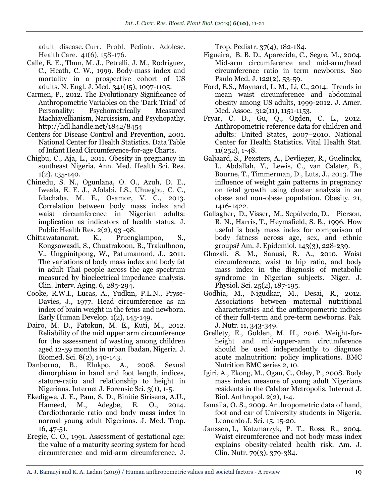adult disease. Curr. Probl. Pediatr. Adolesc. Health Care. 41(6), 158-176.

- Calle, E. E., Thun, M. J., Petrelli, J. M., Rodriguez, C., Heath, C. W., 1999. Body-mass index and mortality in a prospective cohort of US adults. N. Engl. J. Med. 341(15), 1097-1105.
- Carmen, P., 2012. The Evolutionary Significance of Anthropometric Variables on the 'Dark Triad' of Personality: Psychometrically Measured Machiavellianism, Narcissism, and Psychopathy. http://hdl.handle.net/1842/8454
- [Centers for Disease Control and Prevention,](http://www.cdc.gov/) 2001. [National Center for Health Statistics.](http://www.cdc.gov/nchs/) Data Table of Infant Head Circumference-for-age Charts.
- Chigbu, C., Aja, L., 2011. [Obesity in pregnancy in](http://www.ncbi.nlm.nih.gov/pubmed/23209967)  [southeast Nigeria.](http://www.ncbi.nlm.nih.gov/pubmed/23209967) Ann. Med. Health Sci. Res.  $1(2)$ , 135-140.
- Chinedu, S. N., Ogunlana, O. O., Azuh, D. E., Iweala, E. E. J., Afolabi, I.S., Uhuegbu, C. C., Idachaba, M. E., Osamor, V. C., 2013. Correlation between body mass index and waist circumference in Nigerian adults: implication as indicators of health status. J. Public Health Res. 2(2), 93 -98.
- Chittawatanarat, K., Pruenglampoo, S., Kongsawasdi, S., Chuatrakoon, B., Trakulhoon, V., Ungpinitpong, W., Patumanond, J., 2011. [The variations of body mass index and body fat](http://www.ncbi.nlm.nih.gov/pmc/articles/PMC3230582/)  [in adult Thai people across the age spectrum](http://www.ncbi.nlm.nih.gov/pmc/articles/PMC3230582/)  [measured by bioelectrical impedance analysis.](http://www.ncbi.nlm.nih.gov/pmc/articles/PMC3230582/) Clin. Interv. Aging. 6, 285-294.
- Cooke, R.W.I., Lucas, A., Yudkin, P.L.N., Pryse-Davies, J., 1977. [Head circumference as an](http://www.sciencedirect.com/science/article/pii/0378378277900159)  [index of brain weight in the fetus and newborn.](http://www.sciencedirect.com/science/article/pii/0378378277900159) Early Human Develop. 1(2), 145-149.
- [Dairo,](https://www.ncbi.nlm.nih.gov/pubmed/?term=Dairo%20MD%5BAuthor%5D&cauthor=true&cauthor_uid=23675266) M. D., [Fatokun,](https://www.ncbi.nlm.nih.gov/pubmed/?term=Fatokun%20ME%5BAuthor%5D&cauthor=true&cauthor_uid=23675266) M. E., [Kuti,](https://www.ncbi.nlm.nih.gov/pubmed/?term=Kuti%20M%5BAuthor%5D&cauthor=true&cauthor_uid=23675266) M., 2012. Reliability of the mid upper arm circumference for the assessment of wasting among children aged 12-59 months in urban Ibadan, Nigeria. [J.](https://www.ncbi.nlm.nih.gov/pmc/articles/PMC3614860/) [Biomed.](https://www.ncbi.nlm.nih.gov/pmc/articles/PMC3614860/) Sci. 8(2), 140-143.
- Danborno, B., Elukpo, A., 2008. Sexual dimorphism in hand and foot length, indices, stature-ratio and relationship to height in Nigerians. Internet J. Forensic Sci. 3(1), 1-5.
- Ekedigwe, J. E., Pam, S. D., Binitie Sirisena, A.U., Hameed, M., Adegbe, E. O., 2014. Cardiothoracic ratio and body mass index in normal young adult Nigerians. J. Med. Trop. 16, 47-51.
- [Eregie, C. O.](http://www.ncbi.nlm.nih.gov/pubmed/?term=Eregie%20CO%5BAuthor%5D&cauthor=true&cauthor_uid=1960776), 1991. Assessment of gestational age: the value of a maturity scoring system for head circumference and mid-arm circumference. [J.](http://www.ncbi.nlm.nih.gov/pubmed/1960776)

[Trop. Pediatr.](http://www.ncbi.nlm.nih.gov/pubmed/1960776) 37(4), 182-184.

- Figueira, B. B. D., Aparecida, C., Segre, M., 2004. Mid-arm circumference and mid-arm/head circumference ratio in term newborns. Sao Paulo Med. J. 122(2), 53-59.
- Ford, E.S., Maynard, L. M., Li, C., 2014. Trends in mean waist circumference and abdominal obesity among US adults, 1999-2012. J. Amer. Med. Assoc. 312(11), 1151-1153.
- Fryar, C. D., Gu, Q., Ogden, C. L., 2012. Anthropometric reference data for children and adults: United States, 2007–2010. National Center for Health Statistics. Vital Health Stat. 11(252), 1-48.
- Galjaard, S., Pexsters, A., Devlieger, R., Guelinckx, I., Abdallah, Y., Lewis, C., van Calster, B., Bourne, T., Timmerman, D., Luts, J., 2013. The influence of weight gain patterns in pregnancy on fetal growth using cluster analysis in an obese and non-obese population. Obesity. 21, 1416-1422.
- [Gallagher,](http://aje.oxfordjournals.org/search?author1=Dympna+Gallagher&sortspec=date&submit=Submit) D., [Visser,](http://aje.oxfordjournals.org/search?author1=Marjolein+Visser&sortspec=date&submit=Submit) M., [Sepúlveda,](http://aje.oxfordjournals.org/search?author1=Dennis+Sep%C3%BAlveda&sortspec=date&submit=Submit) D., [Pierson,](http://aje.oxfordjournals.org/search?author1=Richard+N.+Pierson&sortspec=date&submit=Submit) R. N., [Harris,](http://aje.oxfordjournals.org/search?author1=Tamara+Harris&sortspec=date&submit=Submit) T., [Heymsfield,](http://aje.oxfordjournals.org/search?author1=Steven+B.+Heymsfield&sortspec=date&submit=Submit) S. B., 1996. How useful is body mass index for comparison of body fatness across age, sex, and ethnic groups? Am. J. Epidemiol. 143(3), 228-239.
- [Ghazali, S. M.](https://www.ncbi.nlm.nih.gov/pubmed/?term=Ghazali%20SM%5BAuthor%5D&cauthor=true&cauthor_uid=22314959), [Sanusi, R. A.](https://www.ncbi.nlm.nih.gov/pubmed/?term=Sanusi%20RA%5BAuthor%5D&cauthor=true&cauthor_uid=22314959), 2010. Waist circumference, waist to hip ratio, and body mass index in the diagnosis of metabolic syndrome in Nigerian subjects. [Niger. J.](https://www.ncbi.nlm.nih.gov/pubmed/22314959) [Physiol. Sci.](https://www.ncbi.nlm.nih.gov/pubmed/22314959) 25(2), 187-195.
- Godhia, M., Nigudkar, M., Desai, R., 2012. Associations between maternal nutritional characteristics and the anthropometric indices of their full-term and pre-term newborns. Pak. J. Nutr. 11, 343-349.
- Grellety, E., Golden, M. H., 2016. Weight-forheight and mid-upper-arm circumference should be used independently to diagnose acute malnutrition: policy implications. BMC Nutrition BMC series 2, 10.
- Igiri, A., Ekong, M., Ogan, C., Odey, P., 2008. Body mass index measure of young adult Nigerians residents in the Calabar Metropolis. Internet J. Biol. Anthropol. 2(2), 1-4.
- Ismaila, O. S., 2009. Anthropometric data of hand, foot and ear of University students in Nigeria. Leonardo J. Sci. 15, 15-20.
- [Janssen,](http://ajcn.nutrition.org/search?author1=Ian+Janssen&sortspec=date&submit=Submit) I., [Katzmarzyk,](http://ajcn.nutrition.org/search?author1=Peter+T+Katzmarzyk&sortspec=date&submit=Submit) P. T., [Ross,](http://ajcn.nutrition.org/search?author1=Robert+Ross&sortspec=date&submit=Submit) R., 2004. Waist circumference and not body mass index explains obesity-related health risk. Am. J. Clin. Nutr. 79(3), 379-384.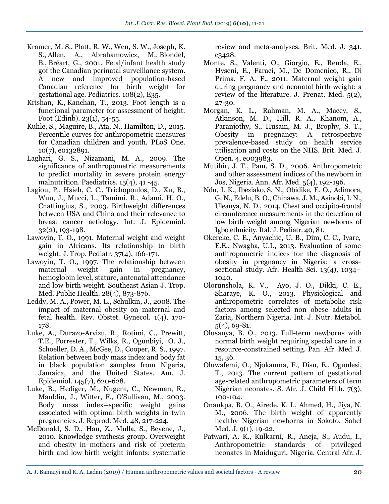- [Kramer, M. S.](https://www.ncbi.nlm.nih.gov/pubmed/?term=Kramer%20MS%5BAuthor%5D&cauthor=true&cauthor_uid=11483845), [Platt, R. W.](https://www.ncbi.nlm.nih.gov/pubmed/?term=Platt%20RW%5BAuthor%5D&cauthor=true&cauthor_uid=11483845), [Wen, S. W.](https://www.ncbi.nlm.nih.gov/pubmed/?term=Wen%20SW%5BAuthor%5D&cauthor=true&cauthor_uid=11483845), [Joseph,](https://www.ncbi.nlm.nih.gov/pubmed/?term=Joseph%20KS%5BAuthor%5D&cauthor=true&cauthor_uid=11483845) K. [S.](https://www.ncbi.nlm.nih.gov/pubmed/?term=Joseph%20KS%5BAuthor%5D&cauthor=true&cauthor_uid=11483845), [Allen, A.](https://www.ncbi.nlm.nih.gov/pubmed/?term=Allen%20A%5BAuthor%5D&cauthor=true&cauthor_uid=11483845), [Abrahamowicz, M.](https://www.ncbi.nlm.nih.gov/pubmed/?term=Abrahamowicz%20M%5BAuthor%5D&cauthor=true&cauthor_uid=11483845), [Blondel,](https://www.ncbi.nlm.nih.gov/pubmed/?term=Blondel%20B%5BAuthor%5D&cauthor=true&cauthor_uid=11483845) [B.](https://www.ncbi.nlm.nih.gov/pubmed/?term=Blondel%20B%5BAuthor%5D&cauthor=true&cauthor_uid=11483845), [Bréart, G.](https://www.ncbi.nlm.nih.gov/pubmed/?term=Br%C3%A9art%20G%5BAuthor%5D&cauthor=true&cauthor_uid=11483845), 2001. [Fetal/infant health study](https://www.ncbi.nlm.nih.gov/pubmed/?term=Fetal%2FInfant%20Health%20Study%20Group%20of%20the%20Canadian%20Perinatal%20Surveillance%20System%5BCorporate%20Author%5D)  [gof the Canadian perinatal surveillance system.](https://www.ncbi.nlm.nih.gov/pubmed/?term=Fetal%2FInfant%20Health%20Study%20Group%20of%20the%20Canadian%20Perinatal%20Surveillance%20System%5BCorporate%20Author%5D) A new and improved population-based Canadian reference for birth weight for gestational age. [Pediatrics.](https://www.ncbi.nlm.nih.gov/pubmed/11483845) 108(2), E35.
- [Krishan, K.](https://www.ncbi.nlm.nih.gov/pubmed/?term=Krishan%20K%5BAuthor%5D&cauthor=true&cauthor_uid=23414623), [Kanchan, T.](https://www.ncbi.nlm.nih.gov/pubmed/?term=Kanchan%20T%5BAuthor%5D&cauthor=true&cauthor_uid=23414623), 2013. Foot length is a functional parameter for assessment of height. [Foot \(Edinb\).](https://www.ncbi.nlm.nih.gov/pubmed/23414623) 23(1), 54-55.
- [Kuhle,](https://www.ncbi.nlm.nih.gov/pubmed/?term=Kuhle%20S%5BAuthor%5D&cauthor=true&cauthor_uid=26176769) S., [Maguire,](https://www.ncbi.nlm.nih.gov/pubmed/?term=Maguire%20B%5BAuthor%5D&cauthor=true&cauthor_uid=26176769) B., [Ata,](https://www.ncbi.nlm.nih.gov/pubmed/?term=Ata%20N%5BAuthor%5D&cauthor=true&cauthor_uid=26176769) N., [Hamilton,](https://www.ncbi.nlm.nih.gov/pubmed/?term=Hamilton%20D%5BAuthor%5D&cauthor=true&cauthor_uid=26176769) D., 2015. Percentile curves for anthropometric measures for Canadian children and youth. [PLoS One.](https://www.ncbi.nlm.nih.gov/pmc/articles/PMC4503699/) 10(7), e0132891.
- Laghari, G. S., Nizamani, M. A., 2009. The significance of anthropometric measurements to predict mortality in severe protein energy malnutrition. Paediatrics. 15(4), 41 -45.
- [Lagiou, P.](https://www.ncbi.nlm.nih.gov/pubmed/?term=Lagiou%20P%5BAuthor%5D&cauthor=true&cauthor_uid=12714535), [Hsieh, C. C.](https://www.ncbi.nlm.nih.gov/pubmed/?term=Hsieh%20CC%5BAuthor%5D&cauthor=true&cauthor_uid=12714535), [Trichopoulos, D.](https://www.ncbi.nlm.nih.gov/pubmed/?term=Trichopoulos%20D%5BAuthor%5D&cauthor=true&cauthor_uid=12714535), [Xu, B.](https://www.ncbi.nlm.nih.gov/pubmed/?term=Xu%20B%5BAuthor%5D&cauthor=true&cauthor_uid=12714535), [Wuu, J.](https://www.ncbi.nlm.nih.gov/pubmed/?term=Wuu%20J%5BAuthor%5D&cauthor=true&cauthor_uid=12714535), [Mucci, L.](https://www.ncbi.nlm.nih.gov/pubmed/?term=Mucci%20L%5BAuthor%5D&cauthor=true&cauthor_uid=12714535), [Tamimi, R.](https://www.ncbi.nlm.nih.gov/pubmed/?term=Tamimi%20R%5BAuthor%5D&cauthor=true&cauthor_uid=12714535), [Adami, H. O.](https://www.ncbi.nlm.nih.gov/pubmed/?term=Adami%20HO%5BAuthor%5D&cauthor=true&cauthor_uid=12714535), [Cnattingius, S.](https://www.ncbi.nlm.nih.gov/pubmed/?term=Cnattingius%20S%5BAuthor%5D&cauthor=true&cauthor_uid=12714535), 2003. Birthweight differences between USA and China and their relevance to breast cancer aetiology. Int. J. Epidemiol. 32(2), 193-198.
- Lawoyin, T. O., 1991. Maternal weight and weight gain in Africans. Its relationship to birth weight. J. Trop. Pediatr. 37(4), 166-171.
- [Lawoyin, T. O.](https://www.ncbi.nlm.nih.gov/pubmed/?term=Lawoyin%20TO%5BAuthor%5D&cauthor=true&cauthor_uid=9656418), 1997. The relationship between maternal weight gain in pregnancy, hemoglobin level, stature, antenatal attendance and low birth weight. Southeast Asian J. Trop. Med. Public Health. 28(4), 873-876.
- [Leddy,](http://www.ncbi.nlm.nih.gov/pubmed/?term=Leddy%20MA%5BAuthor%5D&cauthor=true&cauthor_uid=19173021) M. A., [Power,](http://www.ncbi.nlm.nih.gov/pubmed/?term=Power%20ML%5BAuthor%5D&cauthor=true&cauthor_uid=19173021) M. L., [Schulkin,](http://www.ncbi.nlm.nih.gov/pubmed/?term=Schulkin%20J%5BAuthor%5D&cauthor=true&cauthor_uid=19173021) J., 2008. The impact of maternal obesity on maternal and fetal health. [Rev. Obstet.](http://www.ncbi.nlm.nih.gov/pmc/articles/PMC2621047/) Gynecol. 1(4), 170- 178.
- Luke, A., Durazo-Arvizu, R., Rotimi, C., Prewitt, T.E., Forrester, T., Wilks, R., Ogunbiyi, O. J., Schoeller, D. A., McGee, D., Cooper, R. S., 1997. Relation between body mass index and body fat in black population samples from Nigeria, Jamaica, and the United States. Am. J. Epidemiol. 145(7), 620-628.
- Luke, B., Hediger, M., Nugent, C., Newman, R., Mauldin, J., Witter, F., O'Sullivan, M., 2003. Body mass index--specific weight gains associated with optimal birth weights in twin pregnancies. J. Reprod. Med. 48, 217-224.
- [McDonald, S. D.](https://www.ncbi.nlm.nih.gov/pubmed/?term=McDonald%20SD%5BAuthor%5D&cauthor=true&cauthor_uid=20647282), [Han,](https://www.ncbi.nlm.nih.gov/pubmed/?term=Han%20Z%5BAuthor%5D&cauthor=true&cauthor_uid=20647282) Z., [Mulla, S.](https://www.ncbi.nlm.nih.gov/pubmed/?term=Mulla%20S%5BAuthor%5D&cauthor=true&cauthor_uid=20647282), [Beyene, J.](https://www.ncbi.nlm.nih.gov/pubmed/?term=Beyene%20J%5BAuthor%5D&cauthor=true&cauthor_uid=20647282), 2010. [Knowledge synthesis group.](https://www.ncbi.nlm.nih.gov/pubmed/?term=Knowledge%20Synthesis%20Group%5BCorporate%20Author%5D) Overweight and obesity in mothers and risk of preterm birth and low birth weight infants: systematic

review and meta-analyses. Brit. Med. J. 341, c3428.

- Monte, S., Valenti, O., Giorgio, E., Renda, E., Hyseni, E., Faraci, M., De Domenico, R., Di Prima, F. A. F., 2011. Maternal weight gain during pregnancy and neonatal birth weight: a review of the literature. J. Prenat. Med. 5(2), 27-30.
- Morgan, K. L., Rahman, M. A., Macey, S., Atkinson, M. D., Hill, R. A., Khanom, A., Paranjothy, S., Husain, M. J., Brophy, S. T., Obesity in pregnancy: A retrospective prevalence-based study on health service utilisation and costs on the NHS. Brit. Med. J. Open. 4, e003983.
- Mutihir, J. T., Pam, S. D., 2006. Anthropometric and other assessment indices of the newborn in Jos, Nigeria. Ann. Afr. Med. 5(4), 192-196.
- [Ndu,](https://www.ncbi.nlm.nih.gov/pubmed/?term=Ndu%20IK%5BAuthor%5D&cauthor=true&cauthor_uid=25348818) I. K., [Ibeziako,](https://www.ncbi.nlm.nih.gov/pubmed/?term=Ibeziako%20SN%5BAuthor%5D&cauthor=true&cauthor_uid=25348818) S. N., [Obidike,](https://www.ncbi.nlm.nih.gov/pubmed/?term=Obidike%20EO%5BAuthor%5D&cauthor=true&cauthor_uid=25348818) E. O., Adimora, G. N., Edelu, B. O., Chinawa, J. M., Asinobi, I. N., Uleanya, N. D., 2014. Chest and occipito-frontal circumference measurements in the detection of low birth weight among Nigerian newborns of Igbo ethnicity. Ital. J. Pediatr. 40, 81.
- Okereke, C. E., Anyaehie, U. B., Dim, C. C., Iyare, E.E., Nwagha, U.I., 2013. Evaluation of some anthropometric indices for the diagnosis of obesity in pregnancy in Nigeria: a crosssectional study. Afr. Health Sci. 13(4), 1034– 1040.
- Olorunshola, K. V., Ayo, J. O., Dikki, C. E., Sharaye, K. O., 2013. Physiological and anthropometric correlates of metabolic risk factors among selected non obese adults in Zaria, Northern Nigeria. Int. J. Nutr. Metabol. 5(4), 69-81.
- Olusanya, B. O., 2013. Full-term newborns with normal birth weight requiring special care in a resource-constrained setting. Pan. Afr. Med. J. 15, 36.
- Oluwafemi, O., Njokanma, F., Disu, E., Ogunlesi, T., 2013. The current pattern of gestational age-related anthropometric parameters of term Nigerian neonates. S. Afr. J. Child Hlth. 7(3), 100-104.
- Onankpa, B. O., Airede, K. I., Ahmed, H., Jiya, N. M., 2006. The birth weight of apparently healthy Nigerian newborns in Sokoto. Sahel Med. J. 9(1), 19-22.
- Patwari, A. K., Kulkarni, R., Aneja, S., Audu, I., Anthropometric standards of privileged neonates in Maiduguri, Nigeria. Central Afr. J.